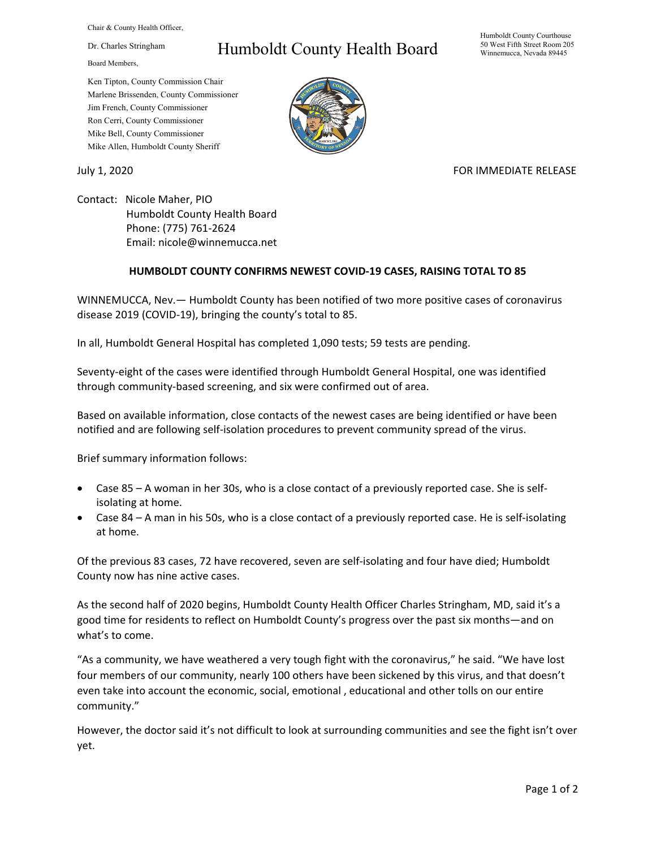Chair & County Health Officer,

Dr. Charles Stringham

Board Members,

## Humboldt County Health Board

Humboldt County Courthouse 50 West Fifth Street Room 205 Winnemucca, Nevada 89445

Ken Tipton, County Commission Chair Marlene Brissenden, County Commissioner Jim French, County Commissioner Ron Cerri, County Commissioner Mike Bell, County Commissioner Mike Allen, Humboldt County Sheriff

July 1, 2020 **FOR IMMEDIATE RELEASE** 

Contact: Nicole Maher, PIO Humboldt County Health Board Phone: (775) 761-2624 Email: nicole@winnemucca.net

## **HUMBOLDT COUNTY CONFIRMS NEWEST COVID-19 CASES, RAISING TOTAL TO 85**

WINNEMUCCA, Nev.— Humboldt County has been notified of two more positive cases of coronavirus disease 2019 (COVID-19), bringing the county's total to 85.

In all, Humboldt General Hospital has completed 1,090 tests; 59 tests are pending.

Seventy-eight of the cases were identified through Humboldt General Hospital, one was identified through community-based screening, and six were confirmed out of area.

Based on available information, close contacts of the newest cases are being identified or have been notified and are following self-isolation procedures to prevent community spread of the virus.

Brief summary information follows:

- Case 85 A woman in her 30s, who is a close contact of a previously reported case. She is selfisolating at home.
- Case 84 A man in his 50s, who is a close contact of a previously reported case. He is self-isolating at home.

Of the previous 83 cases, 72 have recovered, seven are self-isolating and four have died; Humboldt County now has nine active cases.

As the second half of 2020 begins, Humboldt County Health Officer Charles Stringham, MD, said it's a good time for residents to reflect on Humboldt County's progress over the past six months—and on what's to come.

"As a community, we have weathered a very tough fight with the coronavirus," he said. "We have lost four members of our community, nearly 100 others have been sickened by this virus, and that doesn't even take into account the economic, social, emotional , educational and other tolls on our entire community."

However, the doctor said it's not difficult to look at surrounding communities and see the fight isn't over yet.